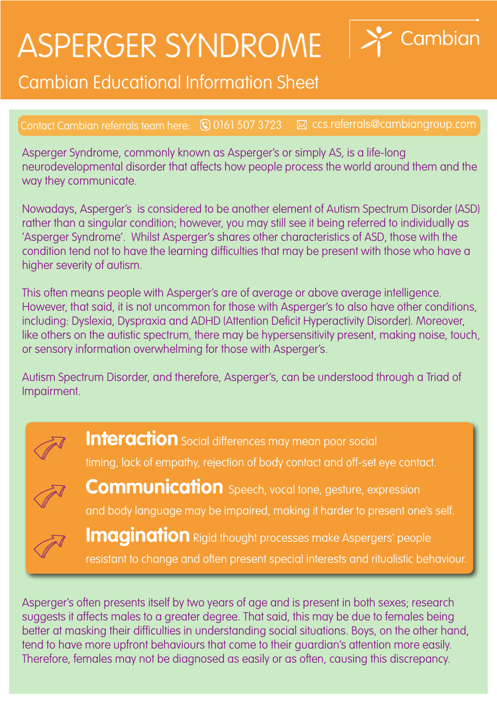# ASPERGER SYNDROME



## Cambian Educational Information Sheet

## Contact Cambian referrals team here:  $\,$  (0) 0161 507 3723  $\,$   $\,$   $\boxtimes$  ccs.referrals@cambiangroup.com

Asperger Syndrome, commonly known as Asperger's or simply AS, is a life-long neurodevelopmental disorder that affects how people process the world around them and the way they communicate.

Nowadays, Asperger's is considered to be another element of Autism Spectrum Disorder (ASD) rather than a singular condition; however, you may still see it being referred to individually as 'Asperger Syndrome'. Whilst Asperger's shares other characteristics of ASD, those with the condition tend not to have the learning difficulties that may be present with those who have a higher severity of autism.

This often means people with Asperger's are of average or above average intelligence. However, that said, it is not uncommon for those with Asperger's to also have other conditions, including: Dyslexia, Dyspraxia and ADHD (Attention Deficit Hyperactivity Disorder). Moreover, like others on the autistic spectrum, there may be hypersensitivity present, making noise, touch, or sensory information overwhelming for those with Asperger's.

Autism Spectrum Disorder, and therefore, Asperger's, can be understood through a Triad of Impairment.



Asperger's often presents itself by two years of age and is present in both sexes; research suggests it affects males to a greater degree. That said, this may be due to females being better at masking their difficulties in understanding social situations. Boys, on the other hand, tend to have more upfront behaviours that come to their guardian's attention more easily. Therefore, females may not be diagnosed as easily or as often, causing this discrepancy.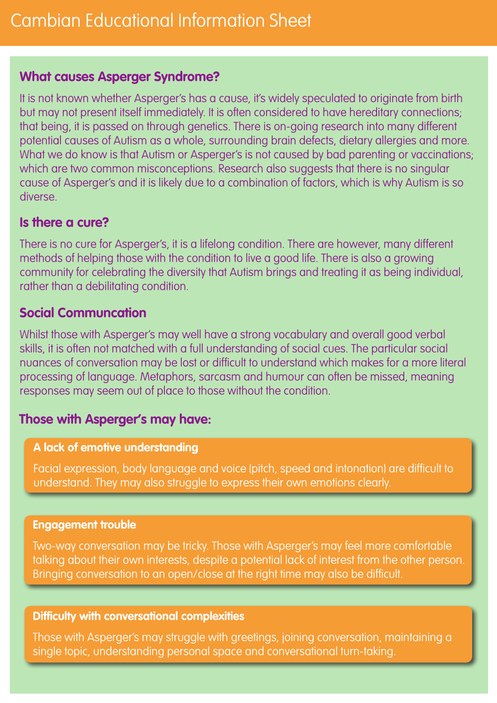## **What causes Asperger Syndrome?**

It is not known whether Asperger's has a cause, it's widely speculated to originate from birth but may not present itself immediately. It is often considered to have hereditary connections; that being, it is passed on through genetics. There is on-going research into many different potential causes of Autism as a whole, surrounding brain defects, dietary allergies and more. What we do know is that Autism or Asperger's is not caused by bad parenting or vaccinations: which are two common misconceptions. Research also suggests that there is no singular cause of Asperger's and it is likely due to a combination of factors, which is why Autism is so diverse.

## **Is there a cure?**

There is no cure for Asperger's, it is a lifelong condition. There are however, many different methods of helping those with the condition to live a good life. There is also a growing community for celebrating the diversity that Autism brings and treating it as being individual, rather than a debilitating condition.

## **Social Communcation**

Whilst those with Asperger's may well have a strong vocabulary and overall good verbal skills, it is often not matched with a full understanding of social cues. The particular social nuances of conversation may be lost or difficult to understand which makes for a more literal processing of language. Metaphors, sarcasm and humour can often be missed, meaning responses may seem out of place to those without the condition.

## **Those with Asperger's may have:**

## **A lack of emotive understanding**

Facial expression, body language and voice (pitch, speed and intonation) are difficult to understand. They may also struggle to express their own emotions clearly.

## **Engagement trouble**

Two-way conversation may be tricky. Those with Asperger's may feel more comfortable talking about their own interests, despite a potential lack of interest from the other person. Bringing conversation to an open/close at the right time may also be difficult.

## **Difficulty with conversational complexities**

Those with Asperger's may struggle with greetings, joining conversation, maintaining a single topic, understanding personal space and conversational turn-taking.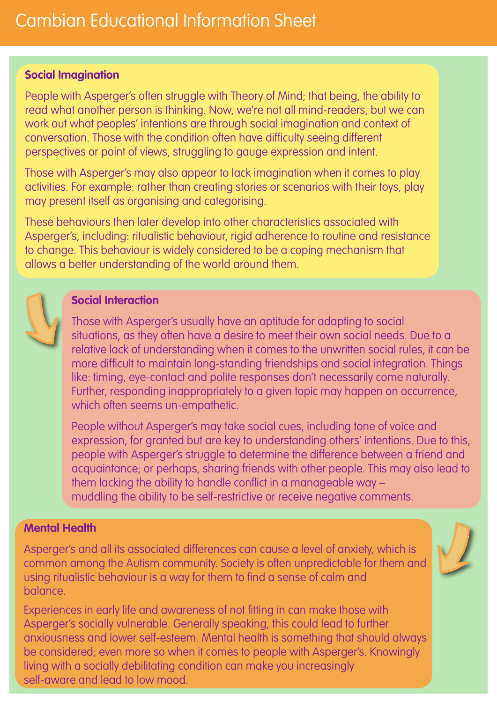## **Social Imagination**

People with Asperger's often struggle with Theory of Mind; that being, the ability to read what another person is thinking. Now, we're not all mind-readers, but we can work out what peoples' intentions are through social imagination and context of conversation. Those with the condition often have difficulty seeing different perspectives or point of views, struggling to gauge expression and intent.

Those with Asperger's may also appear to lack imagination when it comes to play activities. For example: rather than creating stories or scenarios with their toys, play may present itself as organising and categorising.

These behaviours then later develop into other characteristics associated with Asperger's, including: ritualistic behaviour, rigid adherence to routine and resistance to change. This behaviour is widely considered to be a coping mechanism that allows a better understanding of the world around them.



## **Social Interaction**

Those with Asperger's usually have an aptitude for adapting to social situations, as they often have a desire to meet their own social needs. Due to a relative lack of understanding when it comes to the unwritten social rules, it can be more difficult to maintain long-standing friendships and social integration. Things like: timing, eye-contact and polite responses don't necessarily come naturally. Further, responding inappropriately to a given topic may happen on occurrence, which often seems un-empathetic.

People without Asperger's may take social cues, including tone of voice and expression, for granted but are key to understanding others' intentions. Due to this, people with Asperger's struggle to determine the difference between a friend and acquaintance; or perhaps, sharing friends with other people. This may also lead to them lacking the ability to handle conflict in a manageable way – muddling the ability to be self-restrictive or receive negative comments.

## **Mental Health**

Asperger's and all its associated differences can cause a level of anxiety, which is common among the Autism community. Society is often unpredictable for them and using ritualistic behaviour is a way for them to find a sense of calm and balance.



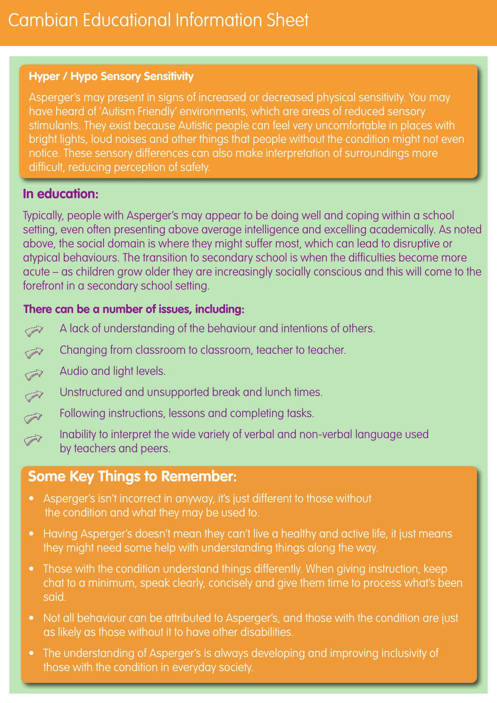## **Hyper / Hypo Sensory Sensitivity**

Asperger's may present in signs of increased or decreased physical sensitivity. You may have heard of 'Autism Friendly' environments, which are areas of reduced sensory stimulants. They exist because Autistic people can feel very uncomfortable in places with bright lights, loud noises and other things that people without the condition might not even notice. These sensory differences can also make interpretation of surroundings more difficult, reducing perception of safety.

## **In education:**

Typically, people with Asperger's may appear to be doing well and coping within a school setting, even often presenting above average intelligence and excelling academically. As noted above, the social domain is where they might suffer most, which can lead to disruptive or atypical behaviours. The transition to secondary school is when the difficulties become more acute – as children grow older they are increasingly socially conscious and this will come to the forefront in a secondary school setting.

## **There can be a number of issues, including:**

- A lack of understanding of the behaviour and intentions of others.  $\widehat{\mathscr{A}}$
- Changing from classroom to classroom, teacher to teacher.  $\widehat{\mathscr{A}}$
- Audio and light levels.  $\widehat{\mathscr{A}}$
- Unstructured and unsupported break and lunch times.  $\widehat{\mathscr{A}}$
- P Following instructions, lessons and completing tasks.
- Inability to interpret the wide variety of verbal and non-verbal language used  $\widehat{\mathscr{A}}$ by teachers and peers.

## **Some Key Things to Remember:**

- Asperger's isn't incorrect in anyway, it's just different to those without the condition and what they may be used to.
- Having Asperger's doesn't mean they can't live a healthy and active life, it just means they might need some help with understanding things along the way.
- Those with the condition understand things differently. When giving instruction, keep chat to a minimum, speak clearly, concisely and give them time to process what's been said.
- Not all behaviour can be attributed to Asperger's, and those with the condition are just as likely as those without it to have other disabilities.
- The understanding of Asperger's is always developing and improving inclusivity of those with the condition in everyday society.